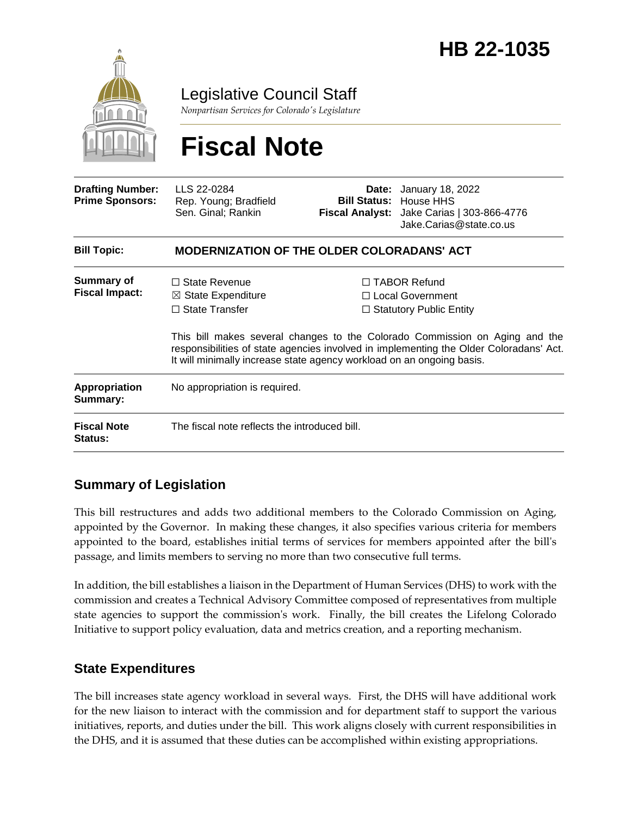

Legislative Council Staff

*Nonpartisan Services for Colorado's Legislature*

# **Fiscal Note**

| <b>Drafting Number:</b><br><b>Prime Sponsors:</b> | LLS 22-0284<br>Rep. Young; Bradfield<br>Sen. Ginal; Rankin                                                                                                                                                                                     |  | <b>Date:</b> January 18, 2022<br><b>Bill Status: House HHS</b><br>Fiscal Analyst: Jake Carias   303-866-4776<br>Jake.Carias@state.co.us |
|---------------------------------------------------|------------------------------------------------------------------------------------------------------------------------------------------------------------------------------------------------------------------------------------------------|--|-----------------------------------------------------------------------------------------------------------------------------------------|
| <b>Bill Topic:</b>                                | <b>MODERNIZATION OF THE OLDER COLORADANS' ACT</b>                                                                                                                                                                                              |  |                                                                                                                                         |
| <b>Summary of</b><br><b>Fiscal Impact:</b>        | $\Box$ State Revenue<br>$\boxtimes$ State Expenditure<br>$\Box$ State Transfer                                                                                                                                                                 |  | $\Box$ TABOR Refund<br>$\Box$ Local Government<br>$\Box$ Statutory Public Entity                                                        |
|                                                   | This bill makes several changes to the Colorado Commission on Aging and the<br>responsibilities of state agencies involved in implementing the Older Coloradans' Act.<br>It will minimally increase state agency workload on an ongoing basis. |  |                                                                                                                                         |
| <b>Appropriation</b><br>Summary:                  | No appropriation is required.                                                                                                                                                                                                                  |  |                                                                                                                                         |
| <b>Fiscal Note</b><br><b>Status:</b>              | The fiscal note reflects the introduced bill.                                                                                                                                                                                                  |  |                                                                                                                                         |

## **Summary of Legislation**

This bill restructures and adds two additional members to the Colorado Commission on Aging, appointed by the Governor. In making these changes, it also specifies various criteria for members appointed to the board, establishes initial terms of services for members appointed after the bill's passage, and limits members to serving no more than two consecutive full terms.

In addition, the bill establishes a liaison in the Department of Human Services (DHS) to work with the commission and creates a Technical Advisory Committee composed of representatives from multiple state agencies to support the commission's work. Finally, the bill creates the Lifelong Colorado Initiative to support policy evaluation, data and metrics creation, and a reporting mechanism.

## **State Expenditures**

The bill increases state agency workload in several ways. First, the DHS will have additional work for the new liaison to interact with the commission and for department staff to support the various initiatives, reports, and duties under the bill. This work aligns closely with current responsibilities in the DHS, and it is assumed that these duties can be accomplished within existing appropriations.